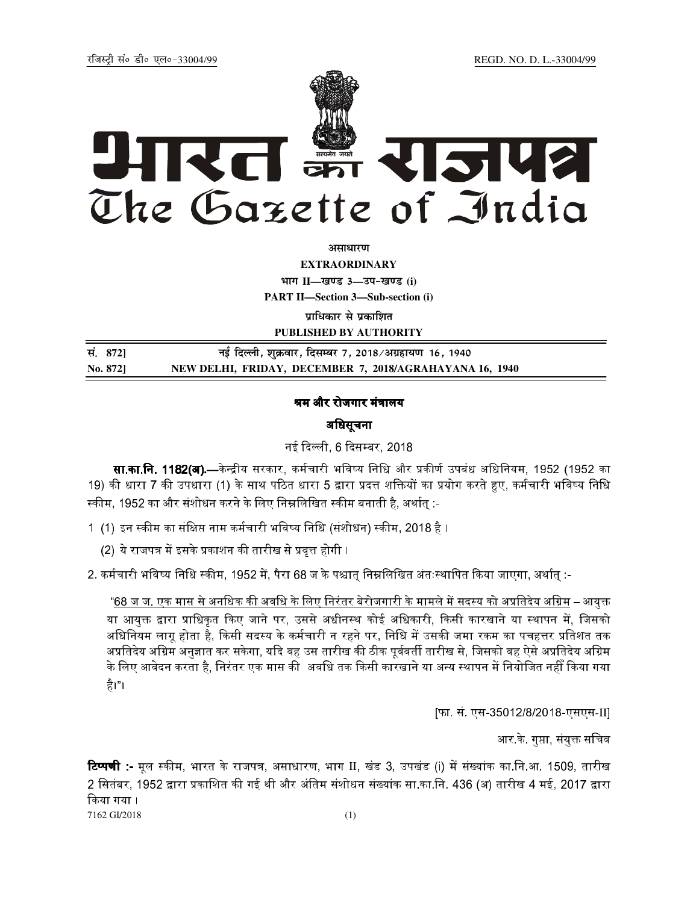# रत क्रा RISUS The Gazette of India

असाधारण

**EXTRAORDINARY** 

भाग II-खण्ड 3-उप-खण्ड (i) **PART II-Section 3-Sub-section (i)** 

पाधिकार से प्रकाशित

PUBLISHED BY AUTHORITY

| सं. 872] | नई दिल्ली, शुक्रवार, दिसम्बर 7, 2018/अग्रहायण 16, 1940  |
|----------|---------------------------------------------------------|
| No. 872] | NEW DELHI, FRIDAY, DECEMBER 7, 2018/AGRAHAYANA 16, 1940 |

## श्रम और रोजगार मंत्रालय

# अधिसूचना

## नई दिल्ली, 6 दिसम्बर, 2018

**सा.का.नि. 1182(अ**).—केन्द्रीय सरकार, कर्मचारी भविष्य निधि और प्रकीर्ण उपबंध अधिनियम, 1952 (1952 का 19) की धारा 7 की उपधारा (1) के साथ पठित धारा 5 द्वारा प्रदत्त शक्तियों का प्रयोग करते हुए, कर्मचारी भविष्य निधि स्कीम, 1952 का और संशोधन करने के लिए निम्नलिखित स्कीम बनाती है, अर्थात :-

- 1 (1) इन स्कीम का संक्षिप्त नाम कर्मचारी भविष्य निधि (संशोधन) स्कीम, 2018 है ।
	- (2) ये राजपत्र में इसके प्रकाशन की तारीख से प्रवृत्त होगी ।
- 2. कर्मचारी भविष्य निधि स्कीम, 1952 में, पैरा 68 ज के पश्चात् निम्नलिखित अंतःस्थापित किया जाएगा, अर्थात् :-

<u>"68 ज ज. एक मास से अनधिक की अवधि के लिए निरंतर बेरोजगारी के मामले में सदस्य को अप्रतिदेय अग्रिम</u> – आयुक्त या आयक्त द्वारा प्राधिकृत किए जाने पर. उससे अधीनस्थ कोई अधिकारी. किसी कारखाने या स्थापन में. जिसको अधिनियम लाग होता है. किसी सदस्य के कर्मचारी न रहने पर. निधि में उसकी जमा रकम का पचहत्तर प्रतिशत तक अप्रतिदेय अग्रिम अनुज्ञात कर सकेगा, यदि वह उस तारीख की ठीक पूर्ववर्ती तारीख से, जिसको वह ऐसे अप्रतिदेय अग्रिम के लिए आवेदन करता है, निरंतर एक मास की अवधि तक किसी कारखाने या अन्य स्थापन में नियोजित नहीँ किया गया है।"।

[फा. सं. एस-35012/8/2018-एसएस-II]

आर के. गुप्ता, संयुक्त सचिव

**टिप्पणी :-** मुल स्कीम, भारत के राजपत्र, असाधारण, भाग II, खंड 3, उपखंड (i) में संख्यांक का.नि.आ. 1509, तारीख 2 सितंबर, 1952 द्वारा प्रकाशित की गई थी और अंतिम संशोधन संख्यांक सा.का.नि. 436 (अ) तारीख 4 मई, 2017 द्वारा किया गया । 7162 GI/2018

 $(1)$